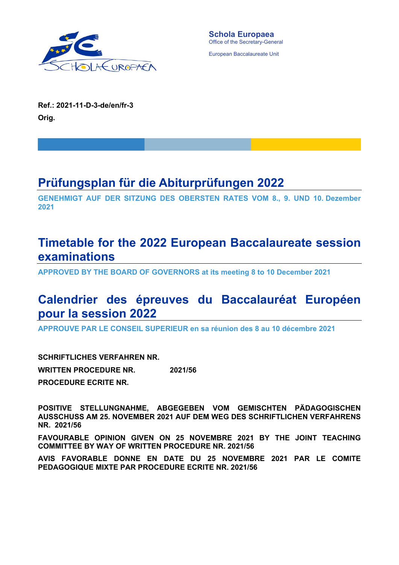

European Baccalaureate Unit

**Ref.: 2021-11-D-3-de/en/fr-3 Orig.** 

# **Prüfungsplan für die Abiturprüfungen 2022**

**GENEHMIGT AUF DER SITZUNG DES OBERSTEN RATES VOM 8., 9. UND 10. Dezember 2021** 

## **Timetable for the 2022 European Baccalaureate session examinations**

**APPROVED BY THE BOARD OF GOVERNORS at its meeting 8 to 10 December 2021** 

# **Calendrier des épreuves du Baccalauréat Européen pour la session 2022**

**APPROUVE PAR LE CONSEIL SUPERIEUR en sa réunion des 8 au 10 décembre 2021** 

**SCHRIFTLICHES VERFAHREN NR. WRITTEN PROCEDURE NR. PROCEDURE ECRITE NR. 2021/56** 

**POSITIVE STELLUNGNAHME, ABGEGEBEN VOM GEMISCHTEN PÄDAGOGISCHEN AUSSCHUSS AM 25. NOVEMBER 2021 AUF DEM WEG DES SCHRIFTLICHEN VERFAHRENS NR. 2021/56** 

**FAVOURABLE OPINION GIVEN ON 25 NOVEMBRE 2021 BY THE JOINT TEACHING COMMITTEE BY WAY OF WRITTEN PROCEDURE NR. 2021/56** 

**AVIS FAVORABLE DONNE EN DATE DU 25 NOVEMBRE 2021 PAR LE COMITE PEDAGOGIQUE MIXTE PAR PROCEDURE ECRITE NR. 2021/56**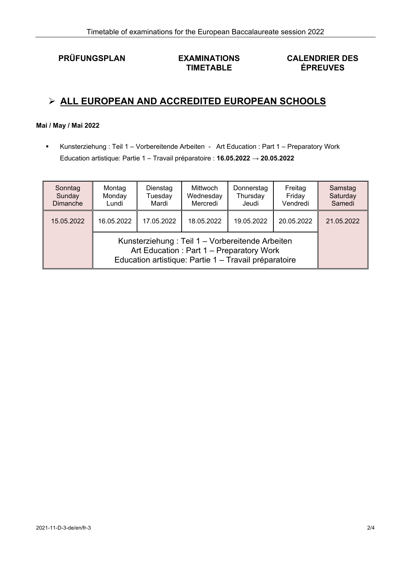**PRÜFUNGSPLAN EXAMINATIONS** 

# **TIMETABLE**

## **CALENDRIER DES ÉPREUVES**

## **ALL EUROPEAN AND ACCREDITED EUROPEAN SCHOOLS**

### **Mai / May / Mai 2022**

 Kunsterziehung : Teil 1 – Vorbereitende Arbeiten - Art Education : Part 1 – Preparatory Work Education artistique: Partie 1 – Travail préparatoire : **16.05.2022 → 20.05.2022** 

| Sonntag<br>Sunday<br>Dimanche | Montag<br>Monday<br>Lundi                                                                                                                            | Dienstag<br>Tuesday<br>Mardi | Mittwoch<br>Wednesday<br>Mercredi | Donnerstag<br>Thursday<br>Jeudi | Freitag<br>Friday<br>Vendredi | Samstag<br>Saturday<br>Samedi |
|-------------------------------|------------------------------------------------------------------------------------------------------------------------------------------------------|------------------------------|-----------------------------------|---------------------------------|-------------------------------|-------------------------------|
| 15.05.2022                    | 16.05.2022                                                                                                                                           | 17.05.2022<br>18.05.2022     |                                   | 19.05.2022                      | 20.05.2022                    | 21.05.2022                    |
|                               | Kunsterziehung: Teil 1 – Vorbereitende Arbeiten<br>Art Education: Part 1 - Preparatory Work<br>Education artistique: Partie 1 - Travail préparatoire |                              |                                   |                                 |                               |                               |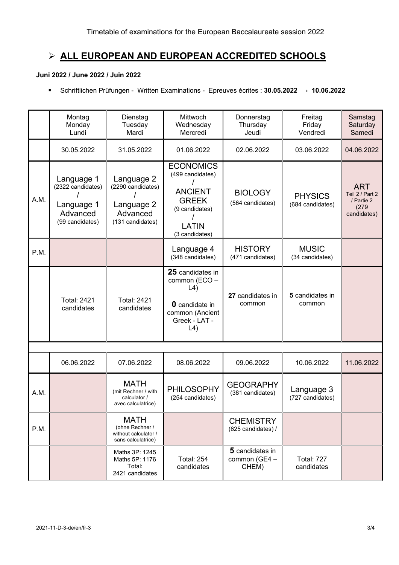## **ALL EUROPEAN AND EUROPEAN ACCREDITED SCHOOLS**

### **Juni 2022 / June 2022 / Juin 2022**

Schriftlichen Prüfungen - Written Examinations - Epreuves écrites : **30.05.2022 → 10.06.2022** 

|      | Montag<br>Monday<br>Lundi                                                    | Dienstag<br>Tuesday<br>Mardi                                                  | Mittwoch<br>Wednesday<br>Mercredi                                                                                            | Donnerstag<br>Thursday<br>Jeudi           | Freitag<br>Friday<br>Vendredi      | Samstag<br>Saturday<br>Samedi                                       |  |  |
|------|------------------------------------------------------------------------------|-------------------------------------------------------------------------------|------------------------------------------------------------------------------------------------------------------------------|-------------------------------------------|------------------------------------|---------------------------------------------------------------------|--|--|
|      | 30.05.2022                                                                   | 31.05.2022                                                                    | 01.06.2022                                                                                                                   | 02.06.2022                                | 03.06.2022                         | 04.06.2022                                                          |  |  |
| A.M. | Language 1<br>(2322 candidates)<br>Language 1<br>Advanced<br>(99 candidates) | Language 2<br>(2290 candidates)<br>Language 2<br>Advanced<br>(131 candidates) | <b>ECONOMICS</b><br>(499 candidates)<br><b>ANCIENT</b><br><b>GREEK</b><br>(9 candidates)<br>LATIN<br>(3 candidates)          | <b>BIOLOGY</b><br>(564 candidates)        | <b>PHYSICS</b><br>(684 candidates) | <b>ART</b><br>Teil 2 / Part 2<br>/ Partie 2<br>(279)<br>candidates) |  |  |
| P.M. |                                                                              |                                                                               | Language 4<br>(348 candidates)                                                                                               | <b>HISTORY</b><br>(471 candidates)        | <b>MUSIC</b><br>(34 candidates)    |                                                                     |  |  |
|      | <b>Total: 2421</b><br>candidates                                             | <b>Total: 2421</b><br>candidates                                              | 25 candidates in<br>common (ECO -<br>$\lfloor 4 \rfloor$<br><b>0</b> candidate in<br>common (Ancient<br>Greek - LAT -<br>L4) | 27 candidates in<br>common                | 5 candidates in<br>common          |                                                                     |  |  |
|      |                                                                              |                                                                               |                                                                                                                              |                                           |                                    |                                                                     |  |  |
|      | 06.06.2022                                                                   | 07.06.2022                                                                    | 08.06.2022                                                                                                                   | 09.06.2022                                | 10.06.2022                         | 11.06.2022                                                          |  |  |
| A.M. |                                                                              | <b>MATH</b><br>(mit Rechner / with<br>calculator /<br>avec calculatrice)      | <b>PHILOSOPHY</b><br>(254 candidates)                                                                                        | <b>GEOGRAPHY</b><br>(381 candidates)      | Language 3<br>(727 candidates)     |                                                                     |  |  |
| P.M. |                                                                              | <b>MATH</b><br>(ohne Rechner /<br>without calculator /<br>sans calculatrice)  |                                                                                                                              | <b>CHEMISTRY</b><br>(625 candidates) /    |                                    |                                                                     |  |  |
|      |                                                                              | Maths 3P: 1245<br>Maths 5P: 1176<br>Total:<br>2421 candidates                 | <b>Total: 254</b><br>candidates                                                                                              | 5 candidates in<br>common (GE4 -<br>CHEM) | <b>Total: 727</b><br>candidates    |                                                                     |  |  |